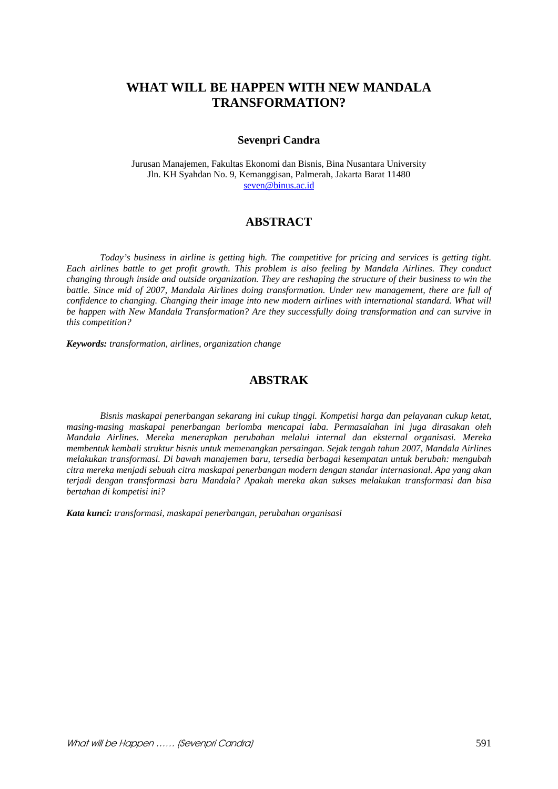# **WHAT WILL BE HAPPEN WITH NEW MANDALA TRANSFORMATION?**

#### **Sevenpri Candra**

Jurusan Manajemen, Fakultas Ekonomi dan Bisnis, Bina Nusantara University Jln. KH Syahdan No. 9, Kemanggisan, Palmerah, Jakarta Barat 11480 seven@binus.ac.id

# **ABSTRACT**

*Today's business in airline is getting high. The competitive for pricing and services is getting tight. Each airlines battle to get profit growth. This problem is also feeling by Mandala Airlines. They conduct changing through inside and outside organization. They are reshaping the structure of their business to win the battle. Since mid of 2007, Mandala Airlines doing transformation. Under new management, there are full of confidence to changing. Changing their image into new modern airlines with international standard. What will be happen with New Mandala Transformation? Are they successfully doing transformation and can survive in this competition?* 

*Keywords: transformation, airlines, organization change* 

## **ABSTRAK**

 *Bisnis maskapai penerbangan sekarang ini cukup tinggi. Kompetisi harga dan pelayanan cukup ketat, masing-masing maskapai penerbangan berlomba mencapai laba. Permasalahan ini juga dirasakan oleh Mandala Airlines. Mereka menerapkan perubahan melalui internal dan eksternal organisasi. Mereka membentuk kembali struktur bisnis untuk memenangkan persaingan. Sejak tengah tahun 2007, Mandala Airlines melakukan transformasi. Di bawah manajemen baru, tersedia berbagai kesempatan untuk berubah: mengubah citra mereka menjadi sebuah citra maskapai penerbangan modern dengan standar internasional. Apa yang akan terjadi dengan transformasi baru Mandala? Apakah mereka akan sukses melakukan transformasi dan bisa bertahan di kompetisi ini?* 

*Kata kunci: transformasi, maskapai penerbangan, perubahan organisasi*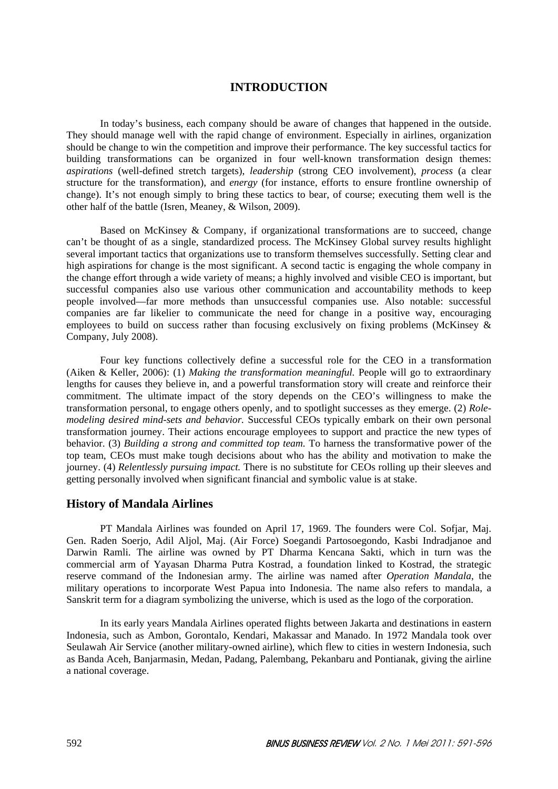# **INTRODUCTION**

In today's business, each company should be aware of changes that happened in the outside. They should manage well with the rapid change of environment. Especially in airlines, organization should be change to win the competition and improve their performance. The key successful tactics for building transformations can be organized in four well-known transformation design themes: *aspirations* (well-defined stretch targets), *leadership* (strong CEO involvement), *process* (a clear structure for the transformation), and *energy* (for instance, efforts to ensure frontline ownership of change). It's not enough simply to bring these tactics to bear, of course; executing them well is the other half of the battle (Isren, Meaney, & Wilson, 2009).

Based on McKinsey & Company, if organizational transformations are to succeed, change can't be thought of as a single, standardized process. The McKinsey Global survey results highlight several important tactics that organizations use to transform themselves successfully. Setting clear and high aspirations for change is the most significant. A second tactic is engaging the whole company in the change effort through a wide variety of means; a highly involved and visible CEO is important, but successful companies also use various other communication and accountability methods to keep people involved—far more methods than unsuccessful companies use. Also notable: successful companies are far likelier to communicate the need for change in a positive way, encouraging employees to build on success rather than focusing exclusively on fixing problems (McKinsey & Company, July 2008).

Four key functions collectively define a successful role for the CEO in a transformation (Aiken & Keller, 2006): (1) *Making the transformation meaningful.* People will go to extraordinary lengths for causes they believe in, and a powerful transformation story will create and reinforce their commitment. The ultimate impact of the story depends on the CEO's willingness to make the transformation personal, to engage others openly, and to spotlight successes as they emerge. (2) *Rolemodeling desired mind-sets and behavior.* Successful CEOs typically embark on their own personal transformation journey. Their actions encourage employees to support and practice the new types of behavior. (3) *Building a strong and committed top team.* To harness the transformative power of the top team, CEOs must make tough decisions about who has the ability and motivation to make the journey. (4) *Relentlessly pursuing impact.* There is no substitute for CEOs rolling up their sleeves and getting personally involved when significant financial and symbolic value is at stake.

#### **History of Mandala Airlines**

PT Mandala Airlines was founded on April 17, 1969. The founders were Col. Sofjar, Maj. Gen. Raden Soerjo, Adil Aljol, Maj. (Air Force) Soegandi Partosoegondo, Kasbi Indradjanoe and Darwin Ramli. The airline was owned by PT Dharma Kencana Sakti, which in turn was the commercial arm of Yayasan Dharma Putra Kostrad, a foundation linked to Kostrad, the strategic reserve command of the Indonesian army. The airline was named after *Operation Mandala*, the military operations to incorporate West Papua into Indonesia. The name also refers to mandala, a Sanskrit term for a diagram symbolizing the universe, which is used as the logo of the corporation.

In its early years Mandala Airlines operated flights between Jakarta and destinations in eastern Indonesia, such as Ambon, Gorontalo, Kendari, Makassar and Manado. In 1972 Mandala took over Seulawah Air Service (another military-owned airline), which flew to cities in western Indonesia, such as Banda Aceh, Banjarmasin, Medan, Padang, Palembang, Pekanbaru and Pontianak, giving the airline a national coverage.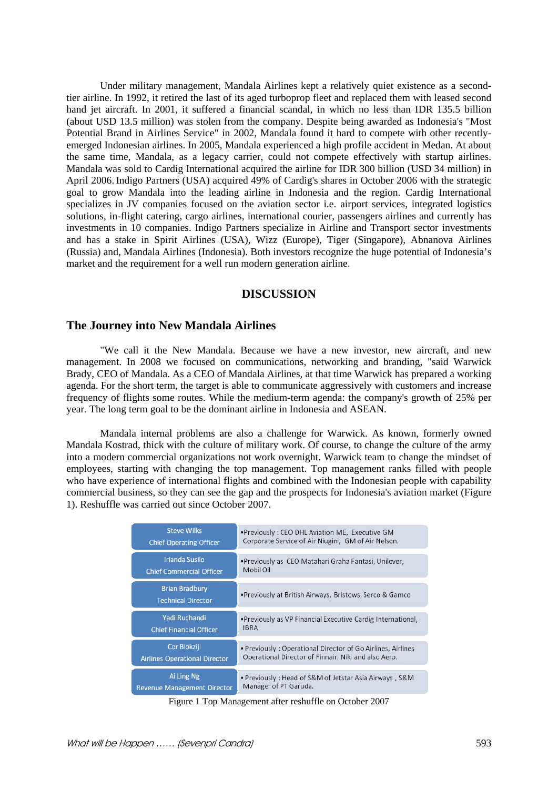Under military management, Mandala Airlines kept a relatively quiet existence as a secondtier airline. In 1992, it retired the last of its aged turboprop fleet and replaced them with leased second hand jet aircraft. In 2001, it suffered a financial scandal, in which no less than IDR 135.5 billion (about USD 13.5 million) was stolen from the company. Despite being awarded as Indonesia's "Most Potential Brand in Airlines Service" in 2002, Mandala found it hard to compete with other recentlyemerged Indonesian airlines. In 2005, Mandala experienced a high profile accident in Medan. At about the same time, Mandala, as a legacy carrier, could not compete effectively with startup airlines. Mandala was sold to Cardig International acquired the airline for IDR 300 billion (USD 34 million) in April 2006.Indigo Partners (USA) acquired 49% of Cardig's shares in October 2006 with the strategic goal to grow Mandala into the leading airline in Indonesia and the region. Cardig International specializes in JV companies focused on the aviation sector i.e. airport services, integrated logistics solutions, in-flight catering, cargo airlines, international courier, passengers airlines and currently has investments in 10 companies. Indigo Partners specialize in Airline and Transport sector investments and has a stake in Spirit Airlines (USA), Wizz (Europe), Tiger (Singapore), Abnanova Airlines (Russia) and, Mandala Airlines (Indonesia). Both investors recognize the huge potential of Indonesia's market and the requirement for a well run modern generation airline.

## **DISCUSSION**

### **The Journey into New Mandala Airlines**

"We call it the New Mandala. Because we have a new investor, new aircraft, and new management. In 2008 we focused on communications, networking and branding, "said Warwick Brady, CEO of Mandala. As a CEO of Mandala Airlines, at that time Warwick has prepared a working agenda. For the short term, the target is able to communicate aggressively with customers and increase frequency of flights some routes. While the medium-term agenda: the company's growth of 25% per year. The long term goal to be the dominant airline in Indonesia and ASEAN.

Mandala internal problems are also a challenge for Warwick. As known, formerly owned Mandala Kostrad, thick with the culture of military work. Of course, to change the culture of the army into a modern commercial organizations not work overnight. Warwick team to change the mindset of employees, starting with changing the top management. Top management ranks filled with people who have experience of international flights and combined with the Indonesian people with capability commercial business, so they can see the gap and the prospects for Indonesia's aviation market (Figure 1). Reshuffle was carried out since October 2007.

| <b>Steve Wilks</b>                                 | . Previously: CEO DHL Aviation ME, Executive GM              |
|----------------------------------------------------|--------------------------------------------------------------|
| <b>Chief Operating Officer</b>                     | Corporate Service of Air Niugini, GM of Air Nelson.          |
| <b>Irianda Susilo</b>                              | •Previously as CEO Matahari Graha Fantasi, Unilever,         |
| <b>Chief Commercial Officer</b>                    | Mobil Oil                                                    |
| <b>Brian Bradbury</b><br><b>Technical Director</b> | •Previously at British Airways, Bristows, Serco & Gamco      |
| Yadi Ruchandi                                      | • Previously as VP Financial Executive Cardig International, |
| <b>Chief Financial Officer</b>                     | <b>IBRA</b>                                                  |
| Cor Blokzijl                                       | • Previously: Operational Director of Go Airlines, Airlines  |
| <b>Airlines Operational Director</b>               | Operational Director of Finnair, Niki and also Aero.         |
| Ai Ling Ng                                         | • Previously: Head of S&M of Jetstar Asia Airways, S&M       |
| <b>Revenue Management Director</b>                 | Manager of PT Garuda.                                        |

Figure 1 Top Management after reshuffle on October 2007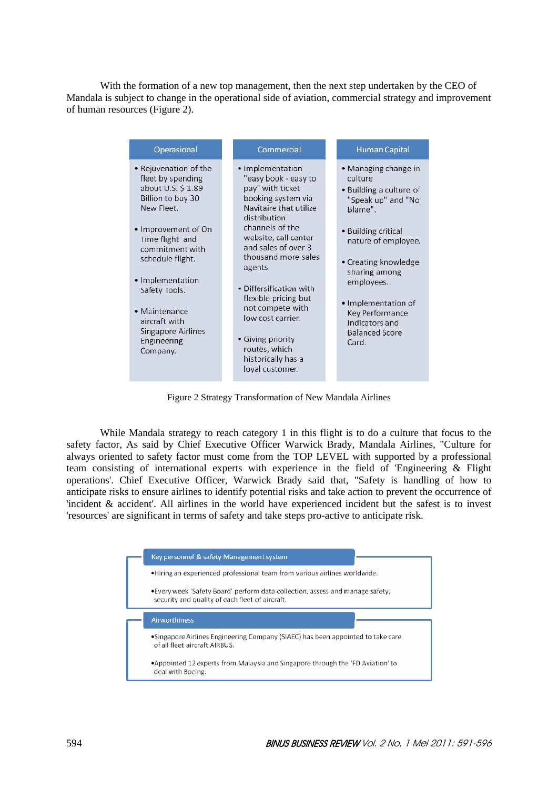With the formation of a new top management, then the next step undertaken by the CEO of Mandala is subject to change in the operational side of aviation, commercial strategy and improvement of human resources (Figure 2).

| Operasional                                                                                                                                                                                                                                                                                                 | Commercial                                                                                                                                                                                                                                                                                                                                                                                                 | Human Capital                                                                                                                                                                                                                                                                                  |
|-------------------------------------------------------------------------------------------------------------------------------------------------------------------------------------------------------------------------------------------------------------------------------------------------------------|------------------------------------------------------------------------------------------------------------------------------------------------------------------------------------------------------------------------------------------------------------------------------------------------------------------------------------------------------------------------------------------------------------|------------------------------------------------------------------------------------------------------------------------------------------------------------------------------------------------------------------------------------------------------------------------------------------------|
| • Rejuvenation of the<br>fleet by spending<br>about U.S. \$1.89<br>Billion to buy 30<br>New Fleet.<br>• Improvement of On<br>Time flight and<br>commitment with<br>schedule flight.<br>• Implementation<br>Safety Tools.<br>• Maintenance<br>aircraft with<br>Singapore Airlines<br>Engineering<br>Company. | • Implementation<br>"easy book - easy to<br>pay" with ticket<br>booking system via<br>Navitaire that utilize<br>distribution<br>channels of the<br>website, call center<br>and sales of over 3<br>thousand more sales<br>agents<br>• Differsification with<br>flexible pricing but<br>not compete with<br>low cost carrier.<br>• Giving priority<br>routes, which<br>historically has a<br>loyal customer. | • Managing change in<br>culture<br>• Building a culture of<br>"Speak up" and "No<br>Blame".<br>• Building critical<br>nature of employee.<br>• Creating knowledge<br>sharing among<br>employees.<br>• Implementation of<br>Key Performance<br>Indicators and<br><b>Balanced Score</b><br>Card. |

Figure 2 Strategy Transformation of New Mandala Airlines

 While Mandala strategy to reach category 1 in this flight is to do a culture that focus to the safety factor, As said by Chief Executive Officer Warwick Brady, Mandala Airlines, "Culture for always oriented to safety factor must come from the TOP LEVEL with supported by a professional team consisting of international experts with experience in the field of 'Engineering & Flight operations'. Chief Executive Officer, Warwick Brady said that, "Safety is handling of how to anticipate risks to ensure airlines to identify potential risks and take action to prevent the occurrence of 'incident & accident'. All airlines in the world have experienced incident but the safest is to invest 'resources' are significant in terms of safety and take steps pro-active to anticipate risk.

| Key personnel & safety Management system                                                                                         |
|----------------------------------------------------------------------------------------------------------------------------------|
| •Hiring an experienced professional team from various airlines worldwide.                                                        |
| •Every week 'Safety Board' perform data collection, assess and manage safety,<br>security and quality of each fleet of aircraft. |
| <b>Airworthiness</b>                                                                                                             |
| •Singapore Airlines Engineering Company (SIAEC) has been appointed to take care<br>of all fleet aircraft AIRBUS.                 |
| •Appointed 12 experts from Malaysia and Singapore through the 'FD Aviation' to                                                   |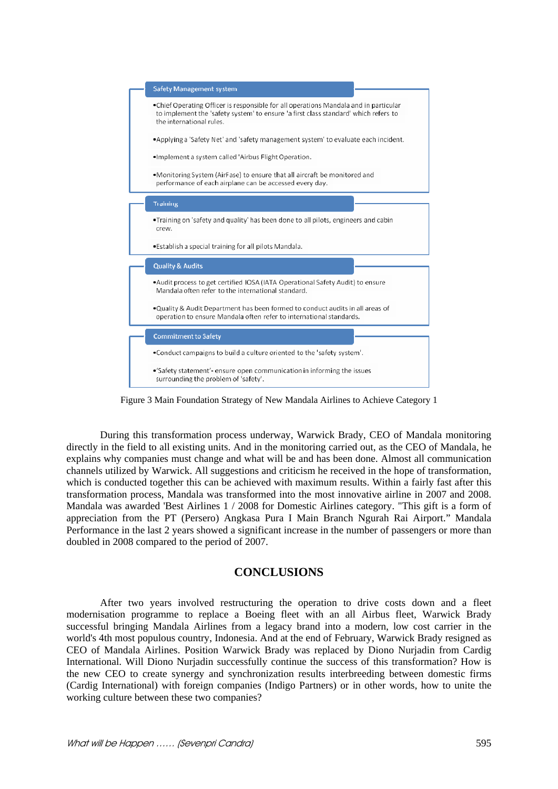

Figure 3 Main Foundation Strategy of New Mandala Airlines to Achieve Category 1

 During this transformation process underway, Warwick Brady, CEO of Mandala monitoring directly in the field to all existing units. And in the monitoring carried out, as the CEO of Mandala, he explains why companies must change and what will be and has been done. Almost all communication channels utilized by Warwick. All suggestions and criticism he received in the hope of transformation, which is conducted together this can be achieved with maximum results. Within a fairly fast after this transformation process, Mandala was transformed into the most innovative airline in 2007 and 2008. Mandala was awarded 'Best Airlines 1 / 2008 for Domestic Airlines category. "This gift is a form of appreciation from the PT (Persero) Angkasa Pura I Main Branch Ngurah Rai Airport." Mandala Performance in the last 2 years showed a significant increase in the number of passengers or more than doubled in 2008 compared to the period of 2007.

# **CONCLUSIONS**

 After two years involved restructuring the operation to drive costs down and a fleet modernisation programme to replace a Boeing fleet with an all Airbus fleet, Warwick Brady successful bringing Mandala Airlines from a legacy brand into a modern, low cost carrier in the world's 4th most populous country, Indonesia. And at the end of February, Warwick Brady resigned as CEO of Mandala Airlines. Position Warwick Brady was replaced by Diono Nurjadin from Cardig International. Will Diono Nurjadin successfully continue the success of this transformation? How is the new CEO to create synergy and synchronization results interbreeding between domestic firms (Cardig International) with foreign companies (Indigo Partners) or in other words, how to unite the working culture between these two companies?